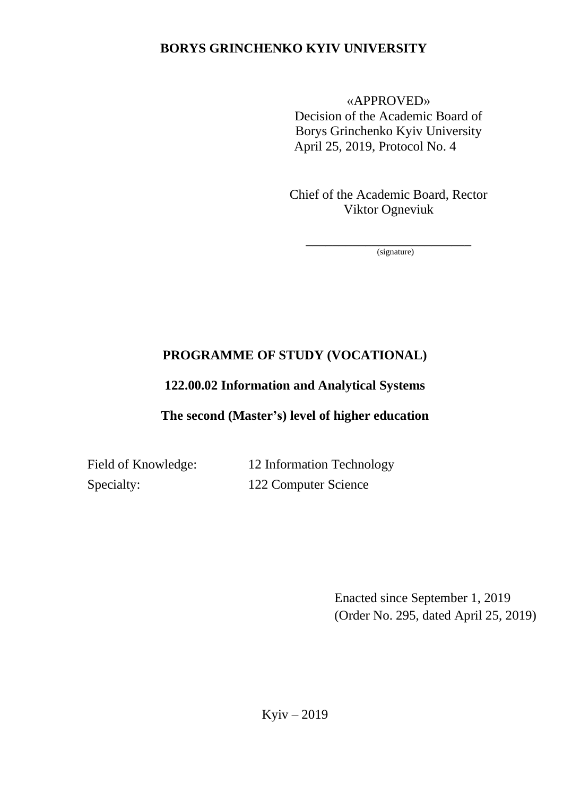## **BORYS GRINCHENKO KYIV UNIVERSITY**

«APPROVED» Decision of the Academic Board of Borys Grinchenko Kyiv University April 25, 2019, Protocol No. 4

Chief of the Academic Board, Rector Viktor Ogneviuk

\_\_\_\_\_\_\_\_\_\_\_\_\_\_\_\_\_\_\_\_\_\_\_\_\_ (signature)

# **PROGRAMME OF STUDY (VOCATIONAL)**

## **122.00.02 Information and Analytical Systems**

## **The second (Master's) level of higher education**

Field of Knowledge: 12 Information Technology Specialty: 122 Computer Science

> Enacted since September 1, 2019 (Order No. 295, dated April 25, 2019)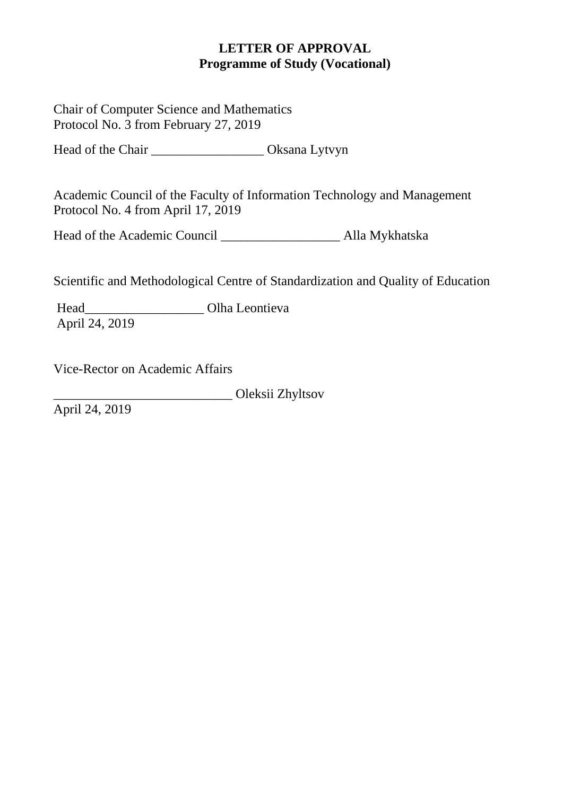#### **LETTER OF APPROVAL Programme of Study (Vocational)**

Chair of Computer Science and Mathematics Protocol No. 3 from February 27, 2019

Head of the Chair \_\_\_\_\_\_\_\_\_\_\_\_\_\_\_\_\_\_\_\_\_\_ Oksana Lytvyn

Academic Council of the Faculty of Information Technology and Management Protocol No. 4 from April 17, 2019

Head of the Academic Council \_\_\_\_\_\_\_\_\_\_\_\_\_\_\_\_\_\_ Alla Mykhatska

Scientific and Methodological Centre of Standardization and Quality of Education

Head\_\_\_\_\_\_\_\_\_\_\_\_\_\_\_\_\_\_ Olha Leontieva April 24, 2019

Vice-Rector on Academic Affairs

\_\_\_\_\_\_\_\_\_\_\_\_\_\_\_\_\_\_\_\_\_\_\_\_\_\_\_ Oleksii Zhyltsov

April 24, 2019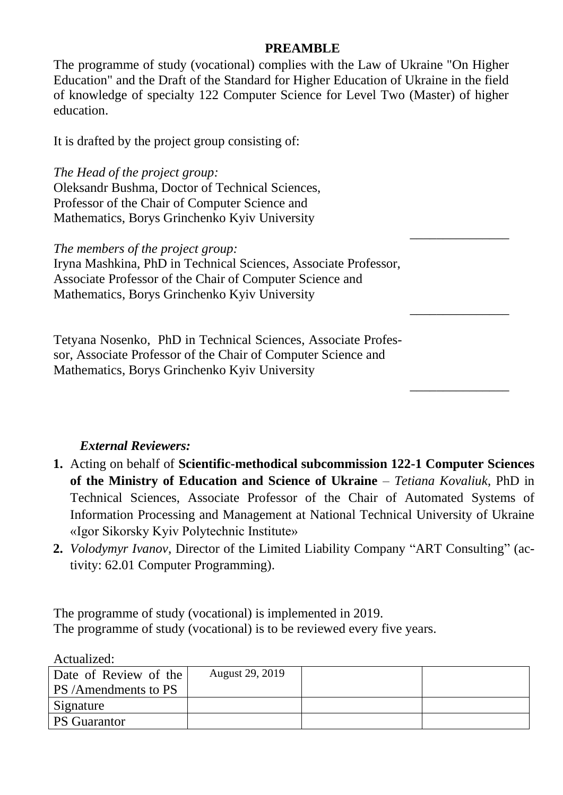#### **PREAMBLE**

\_\_\_\_\_\_\_\_\_\_\_\_\_\_\_

\_\_\_\_\_\_\_\_\_\_\_\_\_\_\_

\_\_\_\_\_\_\_\_\_\_\_\_\_\_\_

The programme of study (vocational) complies with the Law of Ukraine "On Higher Education" and the Draft of the Standard for Higher Education of Ukraine in the field of knowledge of specialty 122 Computer Science for Level Two (Master) of higher education.

It is drafted by the project group consisting of:

*The Head of the project group:* Oleksandr Bushma, Doctor of Technical Sciences, Professor of the Chair of Computer Science and Mathematics, Borys Grinchenko Kyiv University

*The members of the project group:* Iryna Mashkina, PhD in Technical Sciences, Associate Professor, Associate Professor of the Chair of Computer Science and Mathematics, Borys Grinchenko Kyiv University

Tetyana Nosenko, PhD in Technical Sciences, Associate Professor, Associate Professor of the Chair of Computer Science and Mathematics, Borys Grinchenko Kyiv University

### *External Reviewers:*

- **1.** Acting on behalf of **Scientific-methodical subcommission 122-1 Computer Sciences of the Ministry of Education and Science of Ukraine** – *Tetiana Kovaliuk*, PhD in Technical Sciences, Associate Professor of the Chair of Automated Systems of Information Processing and Management at National Technical University of Ukraine «Igor Sikorsky Kyiv Polytechnic Institute»
- **2.** *Volodymyr Ivanov*, Director of the Limited Liability Company "ART Consulting" (activity: 62.01 Computer Programming).

The programme of study (vocational) is implemented in 2019. The programme of study (vocational) is to be reviewed every five years.

Actualized:

| Date of Review of the       | August 29, 2019 |  |
|-----------------------------|-----------------|--|
| <b>PS</b> /Amendments to PS |                 |  |
| Signature                   |                 |  |
| <b>PS</b> Guarantor         |                 |  |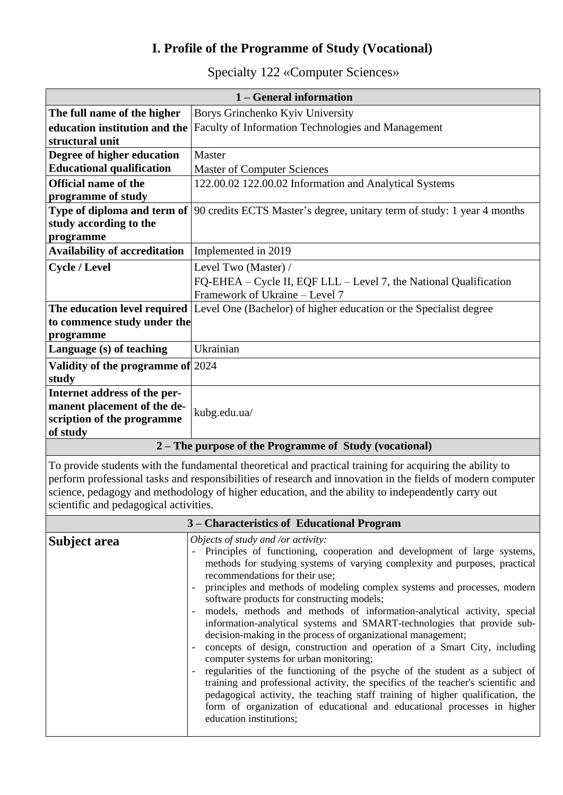## **I. Profile of the Programme of Study (Vocational)**

#### Specialty 122 «Computer Sciences»

|                                      | 1 – General information                                                                                      |  |  |  |  |  |  |  |  |
|--------------------------------------|--------------------------------------------------------------------------------------------------------------|--|--|--|--|--|--|--|--|
| The full name of the higher          | Borys Grinchenko Kyiv University                                                                             |  |  |  |  |  |  |  |  |
| education institution and the        | Faculty of Information Technologies and Management                                                           |  |  |  |  |  |  |  |  |
| structural unit                      |                                                                                                              |  |  |  |  |  |  |  |  |
| Degree of higher education           | Master                                                                                                       |  |  |  |  |  |  |  |  |
| <b>Educational qualification</b>     | <b>Master of Computer Sciences</b>                                                                           |  |  |  |  |  |  |  |  |
| <b>Official name of the</b>          | 122.00.02 122.00.02 Information and Analytical Systems                                                       |  |  |  |  |  |  |  |  |
| programme of study                   |                                                                                                              |  |  |  |  |  |  |  |  |
|                                      | <b>Type of diploma and term of </b> [90 credits ECTS Master's degree, unitary term of study: 1 year 4 months |  |  |  |  |  |  |  |  |
| study according to the               |                                                                                                              |  |  |  |  |  |  |  |  |
| programme                            |                                                                                                              |  |  |  |  |  |  |  |  |
| <b>Availability of accreditation</b> | Implemented in 2019                                                                                          |  |  |  |  |  |  |  |  |
| <b>Cycle / Level</b>                 | Level Two (Master) /                                                                                         |  |  |  |  |  |  |  |  |
|                                      | FQ-EHEA - Cycle II, EQF LLL - Level 7, the National Qualification                                            |  |  |  |  |  |  |  |  |
|                                      | Framework of Ukraine – Level 7                                                                               |  |  |  |  |  |  |  |  |
| The education level required         | Level One (Bachelor) of higher education or the Specialist degree                                            |  |  |  |  |  |  |  |  |
| to commence study under the          |                                                                                                              |  |  |  |  |  |  |  |  |
| programme                            |                                                                                                              |  |  |  |  |  |  |  |  |
| Language (s) of teaching             | Ukrainian                                                                                                    |  |  |  |  |  |  |  |  |
| Validity of the programme of 2024    |                                                                                                              |  |  |  |  |  |  |  |  |
| study                                |                                                                                                              |  |  |  |  |  |  |  |  |
| Internet address of the per-         |                                                                                                              |  |  |  |  |  |  |  |  |
| manent placement of the de-          | kubg.edu.ua/                                                                                                 |  |  |  |  |  |  |  |  |
| scription of the programme           |                                                                                                              |  |  |  |  |  |  |  |  |
| of study                             |                                                                                                              |  |  |  |  |  |  |  |  |
|                                      | 2 – The purpose of the Programme of Study (vocational)                                                       |  |  |  |  |  |  |  |  |

To provide students with the fundamental theoretical and practical training for acquiring the ability to perform professional tasks and responsibilities of research and innovation in the fields of modern computer science, pedagogy and methodology of higher education, and the ability to independently carry out scientific and pedagogical activities.

|              | 3 – Characteristics of Educational Program                                                                                                                                                                                                                                                                                                                                                                                                                                                                                                                                                                                                                                                                                                                                                                                                                                                                                                                                                                                                                                                     |
|--------------|------------------------------------------------------------------------------------------------------------------------------------------------------------------------------------------------------------------------------------------------------------------------------------------------------------------------------------------------------------------------------------------------------------------------------------------------------------------------------------------------------------------------------------------------------------------------------------------------------------------------------------------------------------------------------------------------------------------------------------------------------------------------------------------------------------------------------------------------------------------------------------------------------------------------------------------------------------------------------------------------------------------------------------------------------------------------------------------------|
| Subject area | Objects of study and /or activity:<br>Principles of functioning, cooperation and development of large systems,<br>methods for studying systems of varying complexity and purposes, practical<br>recommendations for their use;<br>principles and methods of modeling complex systems and processes, modern<br>$\overline{\phantom{a}}$<br>software products for constructing models;<br>models, methods and methods of information-analytical activity, special<br>information-analytical systems and SMART-technologies that provide sub-<br>decision-making in the process of organizational management;<br>concepts of design, construction and operation of a Smart City, including<br>computer systems for urban monitoring;<br>regularities of the functioning of the psyche of the student as a subject of<br>training and professional activity, the specifics of the teacher's scientific and<br>pedagogical activity, the teaching staff training of higher qualification, the<br>form of organization of educational and educational processes in higher<br>education institutions; |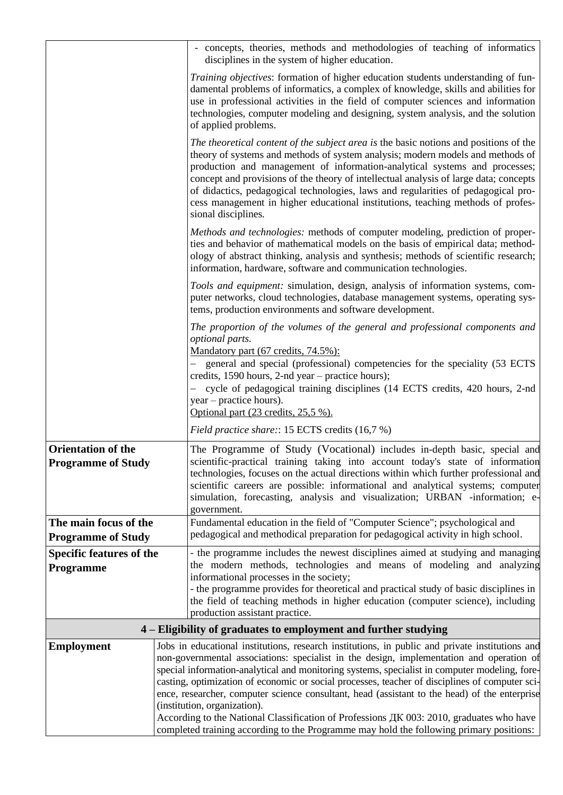|                                                        | - concepts, theories, methods and methodologies of teaching of informatics<br>disciplines in the system of higher education.                                                                                                                                                                                                                                                                                                                                                                                                                                                                                                                                                                                                  |
|--------------------------------------------------------|-------------------------------------------------------------------------------------------------------------------------------------------------------------------------------------------------------------------------------------------------------------------------------------------------------------------------------------------------------------------------------------------------------------------------------------------------------------------------------------------------------------------------------------------------------------------------------------------------------------------------------------------------------------------------------------------------------------------------------|
|                                                        | Training objectives: formation of higher education students understanding of fun-<br>damental problems of informatics, a complex of knowledge, skills and abilities for<br>use in professional activities in the field of computer sciences and information<br>technologies, computer modeling and designing, system analysis, and the solution<br>of applied problems.                                                                                                                                                                                                                                                                                                                                                       |
|                                                        | The theoretical content of the subject area is the basic notions and positions of the<br>theory of systems and methods of system analysis; modern models and methods of<br>production and management of information-analytical systems and processes;<br>concept and provisions of the theory of intellectual analysis of large data; concepts<br>of didactics, pedagogical technologies, laws and regularities of pedagogical pro-<br>cess management in higher educational institutions, teaching methods of profes-<br>sional disciplines.                                                                                                                                                                                 |
|                                                        | Methods and technologies: methods of computer modeling, prediction of proper-<br>ties and behavior of mathematical models on the basis of empirical data; method-<br>ology of abstract thinking, analysis and synthesis; methods of scientific research;<br>information, hardware, software and communication technologies.                                                                                                                                                                                                                                                                                                                                                                                                   |
|                                                        | Tools and equipment: simulation, design, analysis of information systems, com-<br>puter networks, cloud technologies, database management systems, operating sys-<br>tems, production environments and software development.                                                                                                                                                                                                                                                                                                                                                                                                                                                                                                  |
|                                                        | The proportion of the volumes of the general and professional components and<br>optional parts.<br>Mandatory part (67 credits, 74.5%):<br>general and special (professional) competencies for the speciality (53 ECTS<br>credits, 1590 hours, 2-nd year – practice hours);<br>cycle of pedagogical training disciplines (14 ECTS credits, 420 hours, 2-nd<br>$year - practice hours).$<br>Optional part $(23 \text{ credits}, 25.5 \text{ %}).$                                                                                                                                                                                                                                                                               |
|                                                        | Field practice share:: 15 ECTS credits (16,7 %)                                                                                                                                                                                                                                                                                                                                                                                                                                                                                                                                                                                                                                                                               |
| <b>Orientation of the</b><br><b>Programme of Study</b> | The Programme of Study (Vocational) includes in-depth basic, special and<br>scientific-practical training taking into account today's state of information<br>technologies, focuses on the actual directions within which further professional and<br>scientific careers are possible: informational and analytical systems; computer<br>simulation, forecasting, analysis and visualization; URBAN -information; e-<br>government.                                                                                                                                                                                                                                                                                           |
| The main focus of the<br><b>Programme of Study</b>     | Fundamental education in the field of "Computer Science"; psychological and<br>pedagogical and methodical preparation for pedagogical activity in high school.                                                                                                                                                                                                                                                                                                                                                                                                                                                                                                                                                                |
| <b>Specific features of the</b><br>Programme           | - the programme includes the newest disciplines aimed at studying and managing<br>the modern methods, technologies and means of modeling and analyzing<br>informational processes in the society;<br>- the programme provides for theoretical and practical study of basic disciplines in<br>the field of teaching methods in higher education (computer science), including<br>production assistant practice.                                                                                                                                                                                                                                                                                                                |
|                                                        | 4 – Eligibility of graduates to employment and further studying                                                                                                                                                                                                                                                                                                                                                                                                                                                                                                                                                                                                                                                               |
| <b>Employment</b>                                      | Jobs in educational institutions, research institutions, in public and private institutions and<br>non-governmental associations: specialist in the design, implementation and operation of<br>special information-analytical and monitoring systems, specialist in computer modeling, fore-<br>casting, optimization of economic or social processes, teacher of disciplines of computer sci-<br>ence, researcher, computer science consultant, head (assistant to the head) of the enterprise<br>(institution, organization).<br>According to the National Classification of Professions <i>IK</i> 003: 2010, graduates who have<br>completed training according to the Programme may hold the following primary positions: |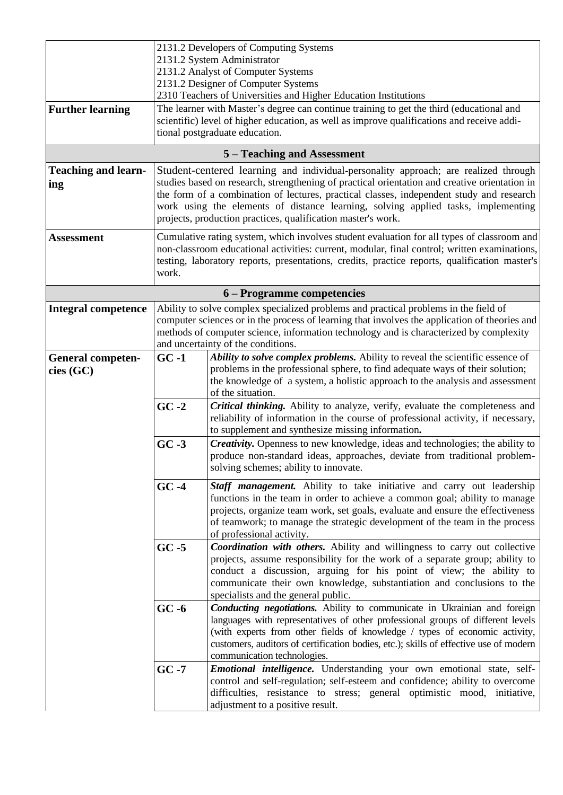|                                       | 2131.2 Developers of Computing Systems<br>2131.2 System Administrator<br>2131.2 Analyst of Computer Systems                                                                                                                                                                                                                                                  |                                                                                                                                                                                                                                                                                                                                                                                                                                       |  |  |  |  |  |  |  |  |  |
|---------------------------------------|--------------------------------------------------------------------------------------------------------------------------------------------------------------------------------------------------------------------------------------------------------------------------------------------------------------------------------------------------------------|---------------------------------------------------------------------------------------------------------------------------------------------------------------------------------------------------------------------------------------------------------------------------------------------------------------------------------------------------------------------------------------------------------------------------------------|--|--|--|--|--|--|--|--|--|
|                                       |                                                                                                                                                                                                                                                                                                                                                              | 2131.2 Designer of Computer Systems<br>2310 Teachers of Universities and Higher Education Institutions                                                                                                                                                                                                                                                                                                                                |  |  |  |  |  |  |  |  |  |
| <b>Further learning</b>               |                                                                                                                                                                                                                                                                                                                                                              | The learner with Master's degree can continue training to get the third (educational and<br>scientific) level of higher education, as well as improve qualifications and receive addi-<br>tional postgraduate education.                                                                                                                                                                                                              |  |  |  |  |  |  |  |  |  |
|                                       |                                                                                                                                                                                                                                                                                                                                                              | 5 – Teaching and Assessment                                                                                                                                                                                                                                                                                                                                                                                                           |  |  |  |  |  |  |  |  |  |
| <b>Teaching and learn-</b><br>ing     |                                                                                                                                                                                                                                                                                                                                                              | Student-centered learning and individual-personality approach; are realized through<br>studies based on research, strengthening of practical orientation and creative orientation in<br>the form of a combination of lectures, practical classes, independent study and research<br>work using the elements of distance learning, solving applied tasks, implementing<br>projects, production practices, qualification master's work. |  |  |  |  |  |  |  |  |  |
| <b>Assessment</b>                     | work.                                                                                                                                                                                                                                                                                                                                                        | Cumulative rating system, which involves student evaluation for all types of classroom and<br>non-classroom educational activities: current, modular, final control; written examinations,<br>testing, laboratory reports, presentations, credits, practice reports, qualification master's                                                                                                                                           |  |  |  |  |  |  |  |  |  |
|                                       |                                                                                                                                                                                                                                                                                                                                                              | 6 - Programme competencies                                                                                                                                                                                                                                                                                                                                                                                                            |  |  |  |  |  |  |  |  |  |
| <b>Integral competence</b>            | Ability to solve complex specialized problems and practical problems in the field of<br>computer sciences or in the process of learning that involves the application of theories and<br>methods of computer science, information technology and is characterized by complexity<br>and uncertainty of the conditions.                                        |                                                                                                                                                                                                                                                                                                                                                                                                                                       |  |  |  |  |  |  |  |  |  |
| <b>General competen-</b><br>cies (GC) | $GC-1$                                                                                                                                                                                                                                                                                                                                                       | Ability to solve complex problems. Ability to reveal the scientific essence of<br>problems in the professional sphere, to find adequate ways of their solution;<br>the knowledge of a system, a holistic approach to the analysis and assessment<br>of the situation.                                                                                                                                                                 |  |  |  |  |  |  |  |  |  |
|                                       | $GC -2$<br>Critical thinking. Ability to analyze, verify, evaluate the completeness and<br>reliability of information in the course of professional activity, if necessary,<br>to supplement and synthesize missing information.                                                                                                                             |                                                                                                                                                                                                                                                                                                                                                                                                                                       |  |  |  |  |  |  |  |  |  |
|                                       | $GC -3$                                                                                                                                                                                                                                                                                                                                                      | Creativity. Openness to new knowledge, ideas and technologies; the ability to<br>produce non-standard ideas, approaches, deviate from traditional problem-<br>solving schemes; ability to innovate.                                                                                                                                                                                                                                   |  |  |  |  |  |  |  |  |  |
|                                       | $GC -4$                                                                                                                                                                                                                                                                                                                                                      | <b>Staff management.</b> Ability to take initiative and carry out leadership<br>functions in the team in order to achieve a common goal; ability to manage<br>projects, organize team work, set goals, evaluate and ensure the effectiveness<br>of teamwork; to manage the strategic development of the team in the process<br>of professional activity.                                                                              |  |  |  |  |  |  |  |  |  |
|                                       | Coordination with others. Ability and willingness to carry out collective<br>$GC -5$<br>projects, assume responsibility for the work of a separate group; ability to<br>conduct a discussion, arguing for his point of view; the ability to<br>communicate their own knowledge, substantiation and conclusions to the<br>specialists and the general public. |                                                                                                                                                                                                                                                                                                                                                                                                                                       |  |  |  |  |  |  |  |  |  |
|                                       | $GC - 6$                                                                                                                                                                                                                                                                                                                                                     | <b>Conducting negotiations.</b> Ability to communicate in Ukrainian and foreign<br>languages with representatives of other professional groups of different levels<br>(with experts from other fields of knowledge / types of economic activity,<br>customers, auditors of certification bodies, etc.); skills of effective use of modern<br>communication technologies.                                                              |  |  |  |  |  |  |  |  |  |
|                                       | $GC -7$                                                                                                                                                                                                                                                                                                                                                      | Emotional intelligence. Understanding your own emotional state, self-<br>control and self-regulation; self-esteem and confidence; ability to overcome<br>difficulties, resistance to stress; general optimistic mood, initiative,<br>adjustment to a positive result.                                                                                                                                                                 |  |  |  |  |  |  |  |  |  |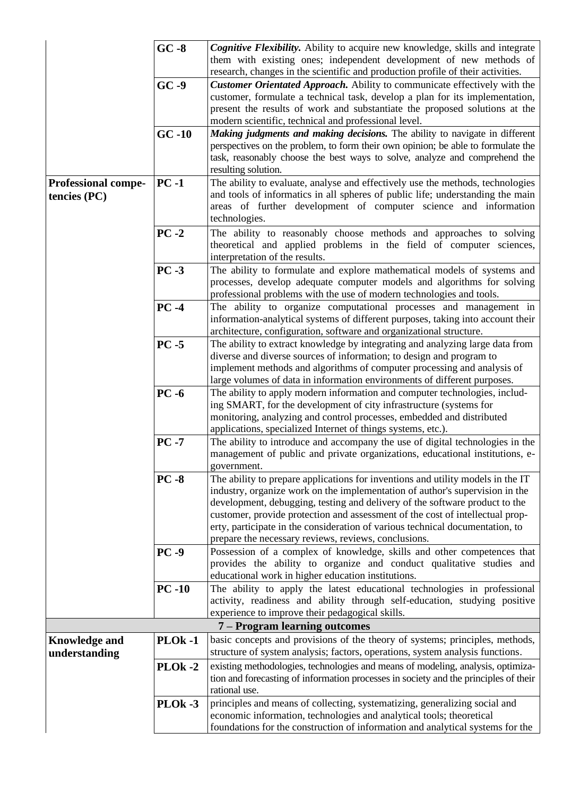|                                            | $GC - 8$       | Cognitive Flexibility. Ability to acquire new knowledge, skills and integrate<br>them with existing ones; independent development of new methods of<br>research, changes in the scientific and production profile of their activities.                                                                                                                                                                                                                                   |  |  |  |  |  |  |
|--------------------------------------------|----------------|--------------------------------------------------------------------------------------------------------------------------------------------------------------------------------------------------------------------------------------------------------------------------------------------------------------------------------------------------------------------------------------------------------------------------------------------------------------------------|--|--|--|--|--|--|
|                                            | $GC -9$        | Customer Orientated Approach. Ability to communicate effectively with the<br>customer, formulate a technical task, develop a plan for its implementation,<br>present the results of work and substantiate the proposed solutions at the<br>modern scientific, technical and professional level.                                                                                                                                                                          |  |  |  |  |  |  |
|                                            | $GC -10$       | Making judgments and making decisions. The ability to navigate in different<br>perspectives on the problem, to form their own opinion; be able to formulate the<br>task, reasonably choose the best ways to solve, analyze and comprehend the<br>resulting solution.                                                                                                                                                                                                     |  |  |  |  |  |  |
| <b>Professional compe-</b><br>tencies (PC) | $PC-1$         | The ability to evaluate, analyse and effectively use the methods, technologies<br>and tools of informatics in all spheres of public life; understanding the main<br>areas of further development of computer science and information<br>technologies.                                                                                                                                                                                                                    |  |  |  |  |  |  |
|                                            | $PC -2$        | The ability to reasonably choose methods and approaches to solving<br>theoretical and applied problems in the field of computer sciences,<br>interpretation of the results.                                                                                                                                                                                                                                                                                              |  |  |  |  |  |  |
|                                            | $PC -3$        | The ability to formulate and explore mathematical models of systems and<br>processes, develop adequate computer models and algorithms for solving<br>professional problems with the use of modern technologies and tools.                                                                                                                                                                                                                                                |  |  |  |  |  |  |
|                                            | $PC -4$        | The ability to organize computational processes and management in<br>information-analytical systems of different purposes, taking into account their<br>architecture, configuration, software and organizational structure.                                                                                                                                                                                                                                              |  |  |  |  |  |  |
|                                            | $PC - 5$       | The ability to extract knowledge by integrating and analyzing large data from<br>diverse and diverse sources of information; to design and program to<br>implement methods and algorithms of computer processing and analysis of<br>large volumes of data in information environments of different purposes.                                                                                                                                                             |  |  |  |  |  |  |
|                                            | $PC -6$        | The ability to apply modern information and computer technologies, includ-<br>ing SMART, for the development of city infrastructure (systems for<br>monitoring, analyzing and control processes, embedded and distributed<br>applications, specialized Internet of things systems, etc.).                                                                                                                                                                                |  |  |  |  |  |  |
|                                            | $PC -7$        | The ability to introduce and accompany the use of digital technologies in the<br>management of public and private organizations, educational institutions, e-<br>government.                                                                                                                                                                                                                                                                                             |  |  |  |  |  |  |
|                                            | $PC -8$        | The ability to prepare applications for inventions and utility models in the IT<br>industry, organize work on the implementation of author's supervision in the<br>development, debugging, testing and delivery of the software product to the<br>customer, provide protection and assessment of the cost of intellectual prop-<br>erty, participate in the consideration of various technical documentation, to<br>prepare the necessary reviews, reviews, conclusions. |  |  |  |  |  |  |
|                                            | $PC -9$        | Possession of a complex of knowledge, skills and other competences that<br>provides the ability to organize and conduct qualitative studies and<br>educational work in higher education institutions.                                                                                                                                                                                                                                                                    |  |  |  |  |  |  |
|                                            | $PC-10$        | The ability to apply the latest educational technologies in professional<br>activity, readiness and ability through self-education, studying positive<br>experience to improve their pedagogical skills.                                                                                                                                                                                                                                                                 |  |  |  |  |  |  |
|                                            |                | 7 – Program learning outcomes                                                                                                                                                                                                                                                                                                                                                                                                                                            |  |  |  |  |  |  |
| <b>Knowledge and</b><br>understanding      | <b>PLOk-1</b>  | basic concepts and provisions of the theory of systems; principles, methods,<br>structure of system analysis; factors, operations, system analysis functions.                                                                                                                                                                                                                                                                                                            |  |  |  |  |  |  |
|                                            | <b>PLOk -2</b> | existing methodologies, technologies and means of modeling, analysis, optimiza-<br>tion and forecasting of information processes in society and the principles of their<br>rational use.                                                                                                                                                                                                                                                                                 |  |  |  |  |  |  |
|                                            | PLOk -3        | principles and means of collecting, systematizing, generalizing social and<br>economic information, technologies and analytical tools; theoretical<br>foundations for the construction of information and analytical systems for the                                                                                                                                                                                                                                     |  |  |  |  |  |  |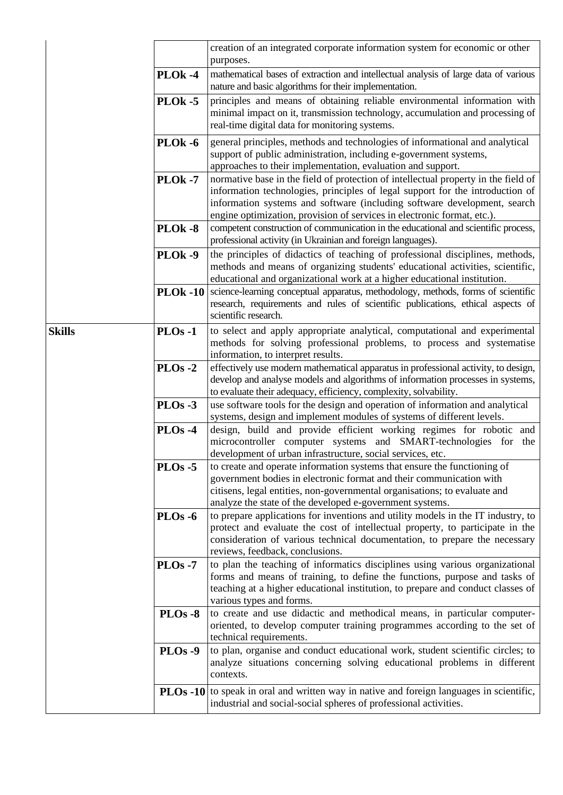|               |                     | creation of an integrated corporate information system for economic or other<br>purposes.                                                                                                                                                                                                                                  |
|---------------|---------------------|----------------------------------------------------------------------------------------------------------------------------------------------------------------------------------------------------------------------------------------------------------------------------------------------------------------------------|
|               | PLO <sub>k</sub> -4 | mathematical bases of extraction and intellectual analysis of large data of various<br>nature and basic algorithms for their implementation.                                                                                                                                                                               |
|               | <b>PLOk -5</b>      | principles and means of obtaining reliable environmental information with<br>minimal impact on it, transmission technology, accumulation and processing of<br>real-time digital data for monitoring systems.                                                                                                               |
|               | PLO <sub>k</sub> -6 | general principles, methods and technologies of informational and analytical<br>support of public administration, including e-government systems,<br>approaches to their implementation, evaluation and support.                                                                                                           |
|               | <b>PLOk -7</b>      | normative base in the field of protection of intellectual property in the field of<br>information technologies, principles of legal support for the introduction of<br>information systems and software (including software development, search<br>engine optimization, provision of services in electronic format, etc.). |
|               | PLO <sub>k</sub> -8 | competent construction of communication in the educational and scientific process,<br>professional activity (in Ukrainian and foreign languages).                                                                                                                                                                          |
|               | PLO <sub>k</sub> -9 | the principles of didactics of teaching of professional disciplines, methods,<br>methods and means of organizing students' educational activities, scientific,<br>educational and organizational work at a higher educational institution.                                                                                 |
|               | <b>PLOk -10</b>     | science-learning conceptual apparatus, methodology, methods, forms of scientific<br>research, requirements and rules of scientific publications, ethical aspects of<br>scientific research.                                                                                                                                |
| <b>Skills</b> | PLOs-1              | to select and apply appropriate analytical, computational and experimental<br>methods for solving professional problems, to process and systematise<br>information, to interpret results.                                                                                                                                  |
|               | $PLOs -2$           | effectively use modern mathematical apparatus in professional activity, to design,<br>develop and analyse models and algorithms of information processes in systems,<br>to evaluate their adequacy, efficiency, complexity, solvability.                                                                                   |
|               | $PLOs -3$           | use software tools for the design and operation of information and analytical<br>systems, design and implement modules of systems of different levels.                                                                                                                                                                     |
|               | PLOs-4              | design, build and provide efficient working regimes for robotic and<br>microcontroller computer systems and SMART-technologies for the<br>development of urban infrastructure, social services, etc.                                                                                                                       |
|               | $PLOs - 5$          | to create and operate information systems that ensure the functioning of<br>government bodies in electronic format and their communication with<br>citisens, legal entities, non-governmental organisations; to evaluate and<br>analyze the state of the developed e-government systems.                                   |
|               | $PLOs - 6$          | to prepare applications for inventions and utility models in the IT industry, to<br>protect and evaluate the cost of intellectual property, to participate in the<br>consideration of various technical documentation, to prepare the necessary<br>reviews, feedback, conclusions.                                         |
|               | $PLOs -7$           | to plan the teaching of informatics disciplines using various organizational<br>forms and means of training, to define the functions, purpose and tasks of<br>teaching at a higher educational institution, to prepare and conduct classes of<br>various types and forms.                                                  |
|               | $PLOs - 8$          | to create and use didactic and methodical means, in particular computer-<br>oriented, to develop computer training programmes according to the set of<br>technical requirements.                                                                                                                                           |
|               | PLOs -9             | to plan, organise and conduct educational work, student scientific circles; to<br>analyze situations concerning solving educational problems in different<br>contexts.                                                                                                                                                     |
|               |                     | <b>PLOs</b> -10 to speak in oral and written way in native and foreign languages in scientific,<br>industrial and social-social spheres of professional activities.                                                                                                                                                        |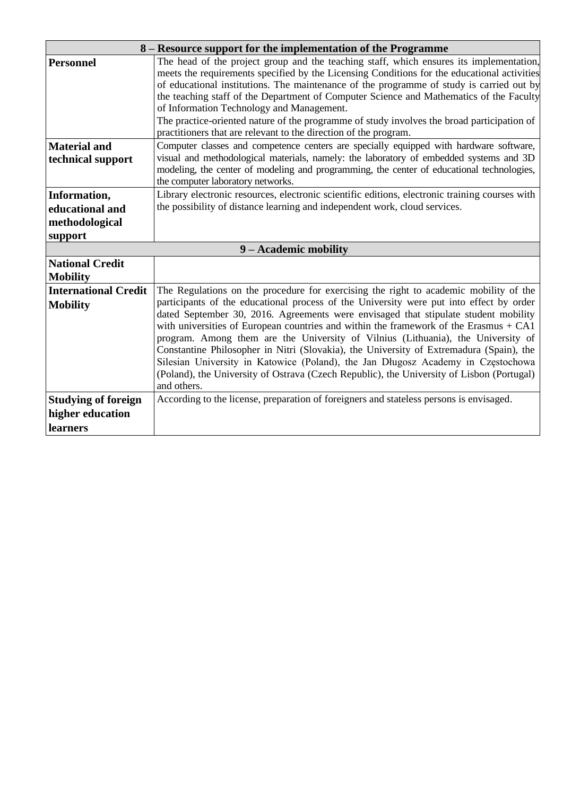|                                                | 8 – Resource support for the implementation of the Programme                                                                                                                                                                                                                                                                                                                                                                                                                                                                                                                                                                                                                                                                                      |
|------------------------------------------------|---------------------------------------------------------------------------------------------------------------------------------------------------------------------------------------------------------------------------------------------------------------------------------------------------------------------------------------------------------------------------------------------------------------------------------------------------------------------------------------------------------------------------------------------------------------------------------------------------------------------------------------------------------------------------------------------------------------------------------------------------|
| <b>Personnel</b>                               | The head of the project group and the teaching staff, which ensures its implementation,<br>meets the requirements specified by the Licensing Conditions for the educational activities<br>of educational institutions. The maintenance of the programme of study is carried out by                                                                                                                                                                                                                                                                                                                                                                                                                                                                |
|                                                | the teaching staff of the Department of Computer Science and Mathematics of the Faculty<br>of Information Technology and Management.                                                                                                                                                                                                                                                                                                                                                                                                                                                                                                                                                                                                              |
|                                                | The practice-oriented nature of the programme of study involves the broad participation of<br>practitioners that are relevant to the direction of the program.                                                                                                                                                                                                                                                                                                                                                                                                                                                                                                                                                                                    |
| <b>Material and</b>                            | Computer classes and competence centers are specially equipped with hardware software,                                                                                                                                                                                                                                                                                                                                                                                                                                                                                                                                                                                                                                                            |
| technical support                              | visual and methodological materials, namely: the laboratory of embedded systems and 3D<br>modeling, the center of modeling and programming, the center of educational technologies,<br>the computer laboratory networks.                                                                                                                                                                                                                                                                                                                                                                                                                                                                                                                          |
| Information,                                   | Library electronic resources, electronic scientific editions, electronic training courses with                                                                                                                                                                                                                                                                                                                                                                                                                                                                                                                                                                                                                                                    |
| educational and                                | the possibility of distance learning and independent work, cloud services.                                                                                                                                                                                                                                                                                                                                                                                                                                                                                                                                                                                                                                                                        |
| methodological                                 |                                                                                                                                                                                                                                                                                                                                                                                                                                                                                                                                                                                                                                                                                                                                                   |
| support                                        |                                                                                                                                                                                                                                                                                                                                                                                                                                                                                                                                                                                                                                                                                                                                                   |
|                                                | 9 - Academic mobility                                                                                                                                                                                                                                                                                                                                                                                                                                                                                                                                                                                                                                                                                                                             |
| <b>National Credit</b><br><b>Mobility</b>      |                                                                                                                                                                                                                                                                                                                                                                                                                                                                                                                                                                                                                                                                                                                                                   |
| <b>International Credit</b><br><b>Mobility</b> | The Regulations on the procedure for exercising the right to academic mobility of the<br>participants of the educational process of the University were put into effect by order<br>dated September 30, 2016. Agreements were envisaged that stipulate student mobility<br>with universities of European countries and within the framework of the Erasmus $+ CA1$<br>program. Among them are the University of Vilnius (Lithuania), the University of<br>Constantine Philosopher in Nitri (Slovakia), the University of Extremadura (Spain), the<br>Silesian University in Katowice (Poland), the Jan Długosz Academy in Częstochowa<br>(Poland), the University of Ostrava (Czech Republic), the University of Lisbon (Portugal)<br>and others. |
| <b>Studying of foreign</b>                     | According to the license, preparation of foreigners and stateless persons is envisaged.                                                                                                                                                                                                                                                                                                                                                                                                                                                                                                                                                                                                                                                           |
| higher education                               |                                                                                                                                                                                                                                                                                                                                                                                                                                                                                                                                                                                                                                                                                                                                                   |
| <b>learners</b>                                |                                                                                                                                                                                                                                                                                                                                                                                                                                                                                                                                                                                                                                                                                                                                                   |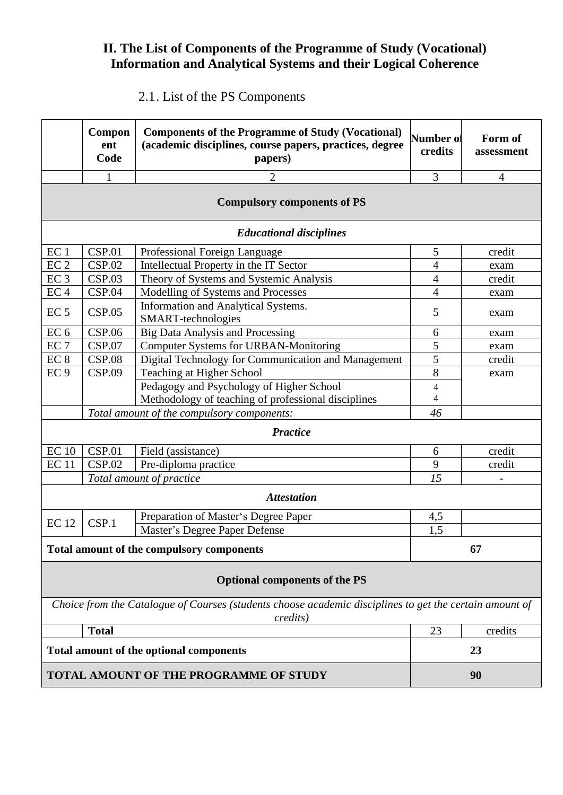### **ІІ. The List of Components of the Programme of Study (Vocational) Information and Analytical Systems and their Logical Coherence**

# 2.1. List of the PS Components

|                 | Compon<br>ent<br>Code                      | <b>Components of the Programme of Study (Vocational)</b><br>(academic disciplines, course papers, practices, degree<br>papers) | Number of<br>credits | Form of<br>assessment |  |  |  |  |  |  |  |
|-----------------|--------------------------------------------|--------------------------------------------------------------------------------------------------------------------------------|----------------------|-----------------------|--|--|--|--|--|--|--|
|                 | $\mathbf{1}$                               | $\overline{2}$                                                                                                                 | 3                    | $\overline{4}$        |  |  |  |  |  |  |  |
|                 | <b>Compulsory components of PS</b>         |                                                                                                                                |                      |                       |  |  |  |  |  |  |  |
|                 | <b>Educational disciplines</b>             |                                                                                                                                |                      |                       |  |  |  |  |  |  |  |
| EC <sub>1</sub> | <b>CSP.01</b>                              | Professional Foreign Language                                                                                                  | 5                    | credit                |  |  |  |  |  |  |  |
| EC <sub>2</sub> | CSP.02                                     | Intellectual Property in the IT Sector                                                                                         | $\overline{4}$       | exam                  |  |  |  |  |  |  |  |
| EC <sub>3</sub> | CSP.03                                     | Theory of Systems and Systemic Analysis                                                                                        | $\overline{4}$       | credit                |  |  |  |  |  |  |  |
| EC <sub>4</sub> | CSP.04                                     | Modelling of Systems and Processes                                                                                             | $\overline{4}$       | exam                  |  |  |  |  |  |  |  |
| EC <sub>5</sub> | CSP.05                                     | Information and Analytical Systems.<br>SMART-technologies                                                                      | 5                    | exam                  |  |  |  |  |  |  |  |
| EC <sub>6</sub> | <b>CSP.06</b>                              | <b>Big Data Analysis and Processing</b>                                                                                        | 6                    | exam                  |  |  |  |  |  |  |  |
| EC <sub>7</sub> | <b>CSP.07</b>                              | <b>Computer Systems for URBAN-Monitoring</b>                                                                                   | 5                    | exam                  |  |  |  |  |  |  |  |
| EC 8            | <b>CSP.08</b>                              | Digital Technology for Communication and Management                                                                            | 5                    | credit                |  |  |  |  |  |  |  |
| EC <sub>9</sub> | <b>CSP.09</b>                              | Teaching at Higher School                                                                                                      | 8                    | exam                  |  |  |  |  |  |  |  |
|                 |                                            | Pedagogy and Psychology of Higher School                                                                                       | 4                    |                       |  |  |  |  |  |  |  |
|                 |                                            | Methodology of teaching of professional disciplines                                                                            | $\overline{4}$       |                       |  |  |  |  |  |  |  |
|                 | Total amount of the compulsory components: | 46                                                                                                                             |                      |                       |  |  |  |  |  |  |  |
|                 |                                            | <b>Practice</b>                                                                                                                |                      |                       |  |  |  |  |  |  |  |
| <b>EC</b> 10    | <b>CSP.01</b>                              | Field (assistance)                                                                                                             | 6                    | credit                |  |  |  |  |  |  |  |
| <b>EC11</b>     | CSP.02                                     | Pre-diploma practice                                                                                                           | 9                    | credit                |  |  |  |  |  |  |  |
|                 |                                            | Total amount of practice                                                                                                       | 15                   |                       |  |  |  |  |  |  |  |
|                 |                                            | <b>Attestation</b>                                                                                                             |                      |                       |  |  |  |  |  |  |  |
|                 |                                            | Preparation of Master's Degree Paper                                                                                           | 4,5                  |                       |  |  |  |  |  |  |  |
| <b>EC12</b>     | CSP.1                                      | Master's Degree Paper Defense                                                                                                  | 1,5                  |                       |  |  |  |  |  |  |  |
|                 |                                            | Total amount of the compulsory components                                                                                      | 67                   |                       |  |  |  |  |  |  |  |
|                 |                                            | <b>Optional components of the PS</b>                                                                                           |                      |                       |  |  |  |  |  |  |  |
|                 |                                            | Choice from the Catalogue of Courses (students choose academic disciplines to get the certain amount of<br>credits)            |                      |                       |  |  |  |  |  |  |  |
|                 | <b>Total</b>                               |                                                                                                                                | 23                   | credits               |  |  |  |  |  |  |  |
|                 |                                            | Total amount of the optional components                                                                                        |                      | 23                    |  |  |  |  |  |  |  |
|                 |                                            | TOTAL AMOUNT OF THE PROGRAMME OF STUDY                                                                                         | 90                   |                       |  |  |  |  |  |  |  |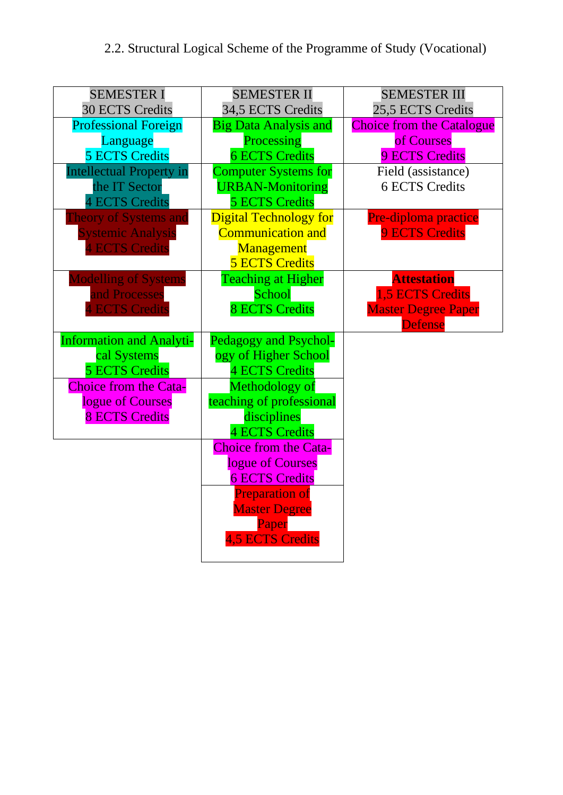| <b>SEMESTER I</b>               | <b>SEMESTER II</b>            | <b>SEMESTER III</b>                   |
|---------------------------------|-------------------------------|---------------------------------------|
| <b>30 ECTS Credits</b>          | 34,5 ECTS Credits             | 25,5 ECTS Credits                     |
| <b>Professional Foreign</b>     | <b>Big Data Analysis and</b>  | <b>Choice from the Catalogue</b>      |
| Language                        | Processing                    | of Courses                            |
| <b>5 ECTS Credits</b>           | <b>6 ECTS Credits</b>         | <b>9 ECTS Credits</b>                 |
| <b>Intellectual Property in</b> | <b>Computer Systems for</b>   | Field (assistance)                    |
| the IT Sector                   | <b>URBAN-Monitoring</b>       | <b>6 ECTS Credits</b>                 |
| <b>4 ECTS Credits</b>           | <b>5 ECTS Credits</b>         |                                       |
| <b>Theory of Systems and</b>    | <b>Digital Technology for</b> | Pre-diploma practice                  |
| <b>Systemic Analysis</b>        | <b>Communication and</b>      | <b>9 ECTS Credits</b>                 |
| <b>4 ECTS Credits</b>           | Management                    |                                       |
|                                 | <b>5 ECTS Credits</b>         |                                       |
| <b>Modelling of Systems</b>     | <b>Teaching at Higher</b>     | <b>Attestation</b>                    |
| and Processes                   | School                        | <b>1,5 ECTS Credits</b>               |
| <b>ECTS</b> Credits             | <b>8 ECTS Credits</b>         | <b>Master Degree Paper</b><br>Defense |
| <b>Information and Analyti-</b> | Pedagogy and Psychol-         |                                       |
| cal Systems                     | ogy of Higher School          |                                       |
| <b>5 ECTS Credits</b>           | <b>4 ECTS Credits</b>         |                                       |
| <b>Choice from the Cata-</b>    | Methodology of                |                                       |
| logue of Courses                | teaching of professional      |                                       |
| <b>8 ECTS Credits</b>           | disciplines                   |                                       |
|                                 | <b>4 ECTS Credits</b>         |                                       |
|                                 | <b>Choice from the Cata-</b>  |                                       |
|                                 | logue of Courses              |                                       |
|                                 | <b>6 ECTS Credits</b>         |                                       |
|                                 | <b>Preparation of</b>         |                                       |
|                                 | <b>Master Degree</b>          |                                       |
|                                 | Paper                         |                                       |
|                                 | <b>4,5 ECTS Credits</b>       |                                       |
|                                 |                               |                                       |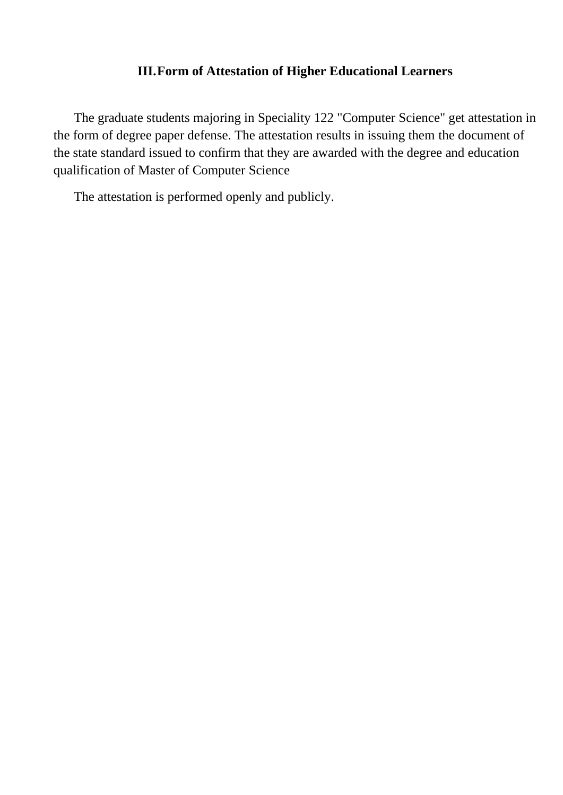### **III.Form of Attestation of Higher Educational Learners**

The graduate students majoring in Speciality 122 "Computer Science" get attestation in the form of degree paper defense. The attestation results in issuing them the document of the state standard issued to confirm that they are awarded with the degree and education qualification of Master of Computer Science

The attestation is performed openly and publicly.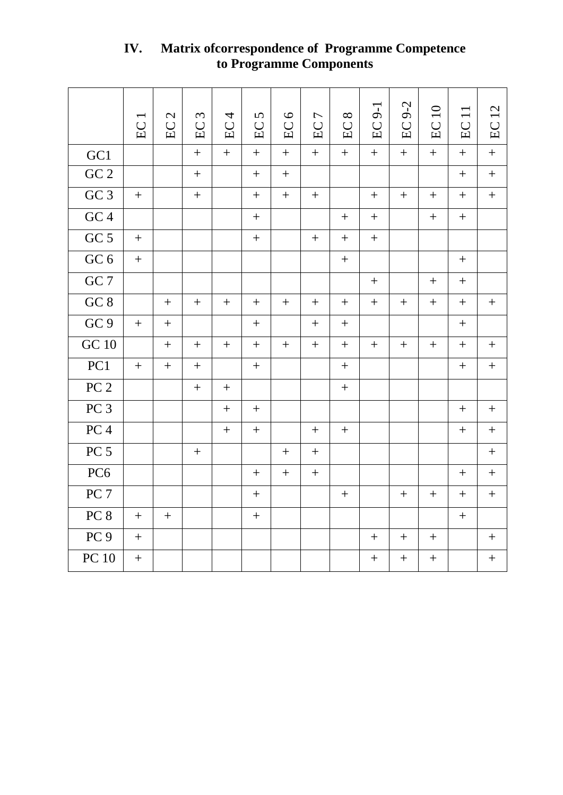|                  | EC               | $\mathcal{L}$<br>EC | $\omega$<br>$\rm EC$ | $\overline{\mathcal{A}}$<br>EC | $\sigma$<br>$\rm EC$ | $\bullet$<br>EC  | $\overline{\phantom{m}}$<br>$\rm EC$ | $\infty$<br>EC    | $9-1$<br>EC       | $9 - 2$<br>EC    | $10\,$<br>EC     | $\Box$<br>EC     | 12<br>EC          |
|------------------|------------------|---------------------|----------------------|--------------------------------|----------------------|------------------|--------------------------------------|-------------------|-------------------|------------------|------------------|------------------|-------------------|
| GC1              |                  |                     | $\boldsymbol{+}$     | $+$                            | $\boldsymbol{+}$     | $+$              | $\boldsymbol{+}$                     | $+$               | $\qquad \qquad +$ | $+$              | $^{+}$           | $^{+}$           | $\overline{+}$    |
| ${\rm GC}$ $2$   |                  |                     | $\boldsymbol{+}$     |                                | $\boldsymbol{+}$     | $+$              |                                      |                   |                   |                  |                  | $+$              | $\qquad \qquad +$ |
| $\overline{GC3}$ | $+$              |                     | $+$                  |                                | $+$                  | $+$              | $+$                                  |                   | $+$               | $+$              | $+$              | $+$              | $+$               |
| GC4              |                  |                     |                      |                                | $\boldsymbol{+}$     |                  |                                      | $+$               | $\boldsymbol{+}$  |                  | $+$              | $+$              |                   |
| GC <sub>5</sub>  | $\boldsymbol{+}$ |                     |                      |                                | $\boldsymbol{+}$     |                  | $+$                                  | $+$               | $\boldsymbol{+}$  |                  |                  |                  |                   |
| GC <sub>6</sub>  | $\boldsymbol{+}$ |                     |                      |                                |                      |                  |                                      | $\qquad \qquad +$ |                   |                  |                  | $\boldsymbol{+}$ |                   |
| GC <sub>7</sub>  |                  |                     |                      |                                |                      |                  |                                      |                   | $+$               |                  | $+$              | $+$              |                   |
| GC 8             |                  | $+$                 | $+$                  | $+$                            | $\boldsymbol{+}$     | $+$              |                                      |                   | $\boldsymbol{+}$  |                  | $\boldsymbol{+}$ | $+$              | $+$               |
| GC <sub>9</sub>  | $+$              | $+$                 |                      |                                | $\boldsymbol{+}$     |                  | $+$                                  | $+$               |                   |                  |                  | $+$              |                   |
| <b>GC 10</b>     |                  | $+$                 | $+$                  | $+$                            | $+$                  | $+$              | $\boldsymbol{+}$                     | $+$               | $\boldsymbol{+}$  | $\boldsymbol{+}$ | $+$              | $+$              | $\boldsymbol{+}$  |
| PC1              | $+$              | $+$                 | $^{+}$               |                                | $\boldsymbol{+}$     |                  |                                      | $\boldsymbol{+}$  |                   |                  |                  | $+$              |                   |
| $PC2$            |                  |                     | $\boldsymbol{+}$     | $\boldsymbol{+}$               |                      |                  |                                      |                   |                   |                  |                  |                  |                   |
| PC <sub>3</sub>  |                  |                     |                      |                                | $+$                  |                  |                                      |                   |                   |                  |                  |                  | $+$               |
| PC <sub>4</sub>  |                  |                     |                      | $+$                            | $\boldsymbol{+}$     |                  | $\boldsymbol{+}$                     | $\boldsymbol{+}$  |                   |                  |                  | $+$              | $\! + \!$         |
| PC <sub>5</sub>  |                  |                     | $+$                  |                                |                      | $+$              | $\boldsymbol{+}$                     |                   |                   |                  |                  |                  | $+$               |
| PC <sub>6</sub>  |                  |                     |                      |                                |                      | $\boldsymbol{+}$ | $\boldsymbol{+}$                     |                   |                   |                  |                  |                  |                   |
| PC <sub>7</sub>  |                  |                     |                      |                                | $\boldsymbol{+}$     |                  |                                      | $+$               |                   |                  |                  | $+$              | $\boldsymbol{+}$  |
| PC <sub>8</sub>  | $^{+}$           | $+$                 |                      |                                | $\boldsymbol{+}$     |                  |                                      |                   |                   |                  |                  | $+$              |                   |
| PC <sub>9</sub>  | $+$              |                     |                      |                                |                      |                  |                                      |                   |                   | $+$              | $\boldsymbol{+}$ |                  | $\boldsymbol{+}$  |
| <b>PC</b> 10     | $\! +$           |                     |                      |                                |                      |                  |                                      |                   | $\! + \!$         | $+$              | $\boldsymbol{+}$ |                  | $\! + \!$         |

### **IV. Matrix ofcorrespondence of Programme Competence to Programme Components**